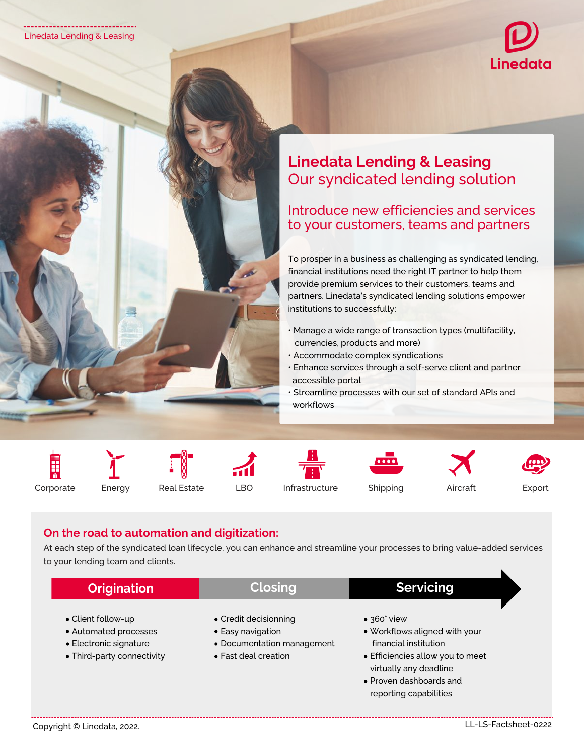

## **Linedata Lending & Leasing** Our syndicated lending solution

Introduce new efficiencies and services to your customers, teams and partners

To prosper in a business as challenging as syndicated lending, financial institutions need the right IT partner to help them provide premium services to their customers, teams and partners. Linedata's syndicated lending solutions empower institutions to successfully:

- Manage a wide range of transaction types (multifacility, currencies, products and more)
- Accommodate complex syndications
- Enhance services through a self-serve client and partner accessible portal
- Streamline processes with our set of standard APIs and workflows







reporting capabilities





Corporate Energy Real Estate LBO Infrastructure Shipping Aircraft Export

## **On the road to automation and digitization:**

At each step of the syndicated loan lifecycle, you can enhance and streamline your processes to bring value-added services to your lending team and clients.

| <b>Origination</b>                                                                                  | <b>Closing</b>                                                                                   | <b>Servicing</b>                                                                                                                                                       |
|-----------------------------------------------------------------------------------------------------|--------------------------------------------------------------------------------------------------|------------------------------------------------------------------------------------------------------------------------------------------------------------------------|
| • Client follow-up<br>• Automated processes<br>• Electronic signature<br>• Third-party connectivity | • Credit decisionning<br>• Easy navigation<br>• Documentation management<br>• Fast deal creation | $\bullet$ 360° view<br>• Workflows aligned with your<br>financial institution<br>• Efficiencies allow you to meet<br>virtually any deadline<br>• Proven dashboards and |